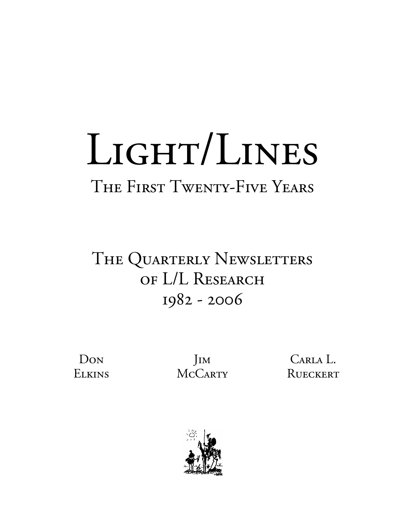# LIGHT/LINES The First Twenty-Five Years

## THE QUARTERLY NEWSLETTERS of L/L Research 1982 - 2006

Don **ELKINS** 

Jim **MCCARTY** 

Carla L. RUECKERT

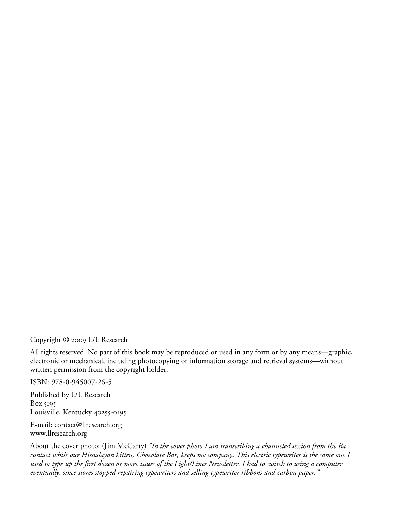Copyright © 2009 L/L Research

All rights reserved. No part of this book may be reproduced or used in any form or by any means—graphic, electronic or mechanical, including photocopying or information storage and retrieval systems—without written permission from the copyright holder.

ISBN: 978-0-945007-26-5

Published by L/L Research Box 5195 Louisville, Kentucky 40255-0195

E-mail: contact@llresearch.org www.llresearch.org

About the cover photo: (Jim McCarty) *"In the cover photo I am transcribing a channeled session from the Ra contact while our Himalayan kitten, Chocolate Bar, keeps me company. This electric typewriter is the same one I*  used to type up the first dozen or more issues of the Light/Lines Newsletter. I had to switch to using a computer *eventually, since stores stopped repairing typewriters and selling typewriter ribbons and carbon paper."*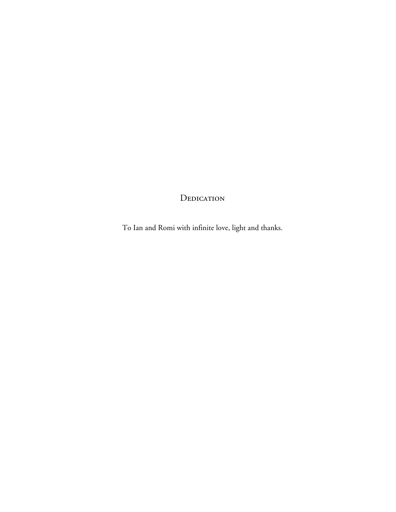#### DEDICATION

To Ian and Romi with infinite love, light and thanks.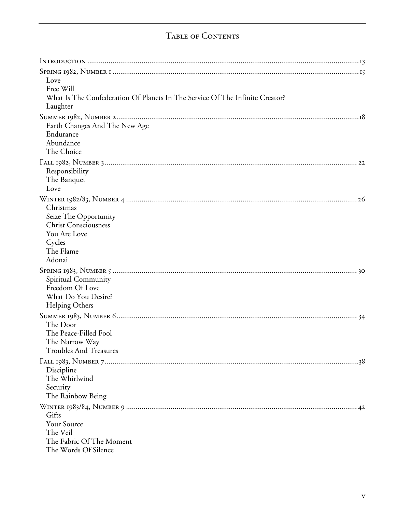### Table of Contents

| Love                                                                         |  |
|------------------------------------------------------------------------------|--|
| Free Will                                                                    |  |
| What Is The Confederation Of Planets In The Service Of The Infinite Creator? |  |
| Laughter                                                                     |  |
|                                                                              |  |
| Earth Changes And The New Age                                                |  |
| Endurance                                                                    |  |
| Abundance                                                                    |  |
| The Choice                                                                   |  |
|                                                                              |  |
| Responsibility                                                               |  |
| The Banquet                                                                  |  |
| Love                                                                         |  |
|                                                                              |  |
| Christmas                                                                    |  |
| Seize The Opportunity                                                        |  |
| <b>Christ Consciousness</b>                                                  |  |
| You Are Love                                                                 |  |
| Cycles<br>The Flame                                                          |  |
| Adonai                                                                       |  |
|                                                                              |  |
|                                                                              |  |
| Spiritual Community<br>Freedom Of Love                                       |  |
| What Do You Desire?                                                          |  |
| <b>Helping Others</b>                                                        |  |
|                                                                              |  |
| The Door                                                                     |  |
| The Peace-Filled Fool                                                        |  |
| The Narrow Way                                                               |  |
| <b>Troubles And Treasures</b>                                                |  |
|                                                                              |  |
| Discipline                                                                   |  |
| The Whirlwind                                                                |  |
| Security                                                                     |  |
| The Rainbow Being                                                            |  |
|                                                                              |  |
| Gifts                                                                        |  |
| Your Source                                                                  |  |
| The Veil                                                                     |  |
| The Fabric Of The Moment                                                     |  |
| The Words Of Silence                                                         |  |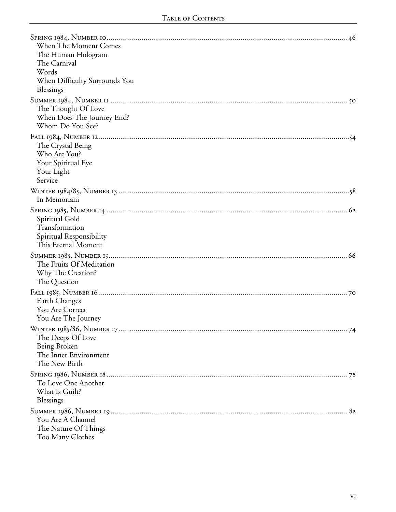| When The Moment Comes<br>The Human Hologram<br>The Carnival<br>Words<br>When Difficulty Surrounds You<br>Blessings |  |
|--------------------------------------------------------------------------------------------------------------------|--|
| The Thought Of Love<br>When Does The Journey End?<br>Whom Do You See?                                              |  |
| The Crystal Being<br>Who Are You?<br>Your Spiritual Eye<br>Your Light<br>Service                                   |  |
| In Memoriam                                                                                                        |  |
| Spiritual Gold<br>Transformation<br>Spiritual Responsibility<br>This Eternal Moment                                |  |
| The Fruits Of Meditation<br>Why The Creation?<br>The Question                                                      |  |
| Earth Changes<br>You Are Correct<br>You Are The Journey                                                            |  |
| The Deeps Of Love<br>Being Broken<br>The Inner Environment<br>The New Birth                                        |  |
| To Love One Another<br>What Is Guilt?<br>Blessings                                                                 |  |
| You Are A Channel<br>The Nature Of Things<br>Too Many Clothes                                                      |  |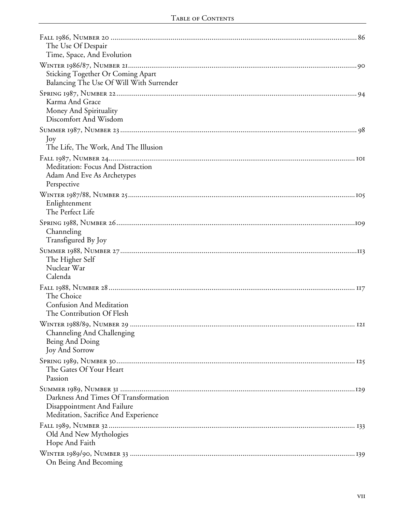| The Use Of Despair<br>Time, Space, And Evolution                                                           |  |
|------------------------------------------------------------------------------------------------------------|--|
| Sticking Together Or Coming Apart<br>Balancing The Use Of Will With Surrender                              |  |
| Karma And Grace<br>Money And Spirituality<br>Discomfort And Wisdom                                         |  |
| Joy<br>The Life, The Work, And The Illusion                                                                |  |
| Meditation: Focus And Distraction<br>Adam And Eve As Archetypes<br>Perspective                             |  |
| Enlightenment<br>The Perfect Life                                                                          |  |
| Channeling<br>Transfigured By Joy                                                                          |  |
| The Higher Self<br>Nuclear War<br>Calenda                                                                  |  |
| The Choice<br><b>Confusion And Meditation</b><br>The Contribution Of Flesh                                 |  |
| Channeling And Challenging<br>Being And Doing<br><b>Joy And Sorrow</b>                                     |  |
| The Gates Of Your Heart<br>Passion                                                                         |  |
| Darkness And Times Of Transformation<br>Disappointment And Failure<br>Meditation, Sacrifice And Experience |  |
| Old And New Mythologies<br>Hope And Faith                                                                  |  |
| On Being And Becoming                                                                                      |  |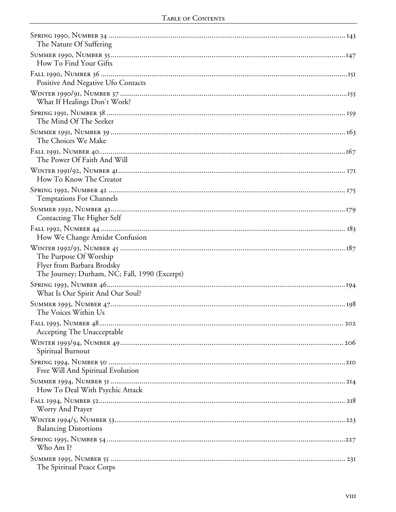| The Nature Of Suffering                                                                               |
|-------------------------------------------------------------------------------------------------------|
| How To Find Your Gifts                                                                                |
| Positive And Negative Ufo Contacts                                                                    |
| What If Healings Don't Work?                                                                          |
| The Mind Of The Seeker                                                                                |
| The Choices We Make                                                                                   |
| The Power Of Faith And Will                                                                           |
| How To Know The Creator                                                                               |
| <b>Temptations For Channels</b>                                                                       |
| Contacting The Higher Self                                                                            |
| How We Change Amidst Confusion                                                                        |
| The Purpose Of Worship<br>Flyer from Barbara Brodsky<br>The Journey; Durham, NC; Fall, 1990 (Excerpt) |
| What Is Our Spirit And Our Soul?                                                                      |
| The Voices Within Us                                                                                  |
| Accepting The Unacceptable                                                                            |
| Spiritual Burnout                                                                                     |
| Free Will And Spiritual Evolution                                                                     |
| How To Deal With Psychic Attack                                                                       |
| Worry And Prayer                                                                                      |
| <b>Balancing Distortions</b>                                                                          |
| Who Am I?                                                                                             |
| The Spiritual Peace Corps                                                                             |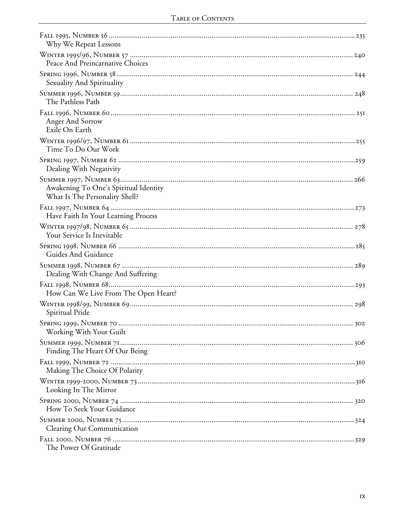| Why We Repeat Lessons                                                   |  |
|-------------------------------------------------------------------------|--|
| Peace And Preincarnative Choices                                        |  |
| Sexuality And Spirituality                                              |  |
| The Pathless Path                                                       |  |
| Anger And Sorrow<br>Exile On Earth                                      |  |
| Time To Do Our Work                                                     |  |
| Dealing With Negativity                                                 |  |
| Awakening To One's Spiritual Identity<br>What Is The Personality Shell? |  |
| Have Faith In Your Learning Process                                     |  |
| Your Service Is Inevitable                                              |  |
| Guides And Guidance                                                     |  |
| Dealing With Change And Suffering                                       |  |
| How Can We Live From The Open Heart?                                    |  |
| Spiritual Pride                                                         |  |
| Working With Your Guilt                                                 |  |
| Finding The Heart Of Our Being                                          |  |
| Making The Choice Of Polarity                                           |  |
| Looking In The Mirror                                                   |  |
| How To Seek Your Guidance                                               |  |
| Clearing Our Communication                                              |  |
| The Power Of Gratitude                                                  |  |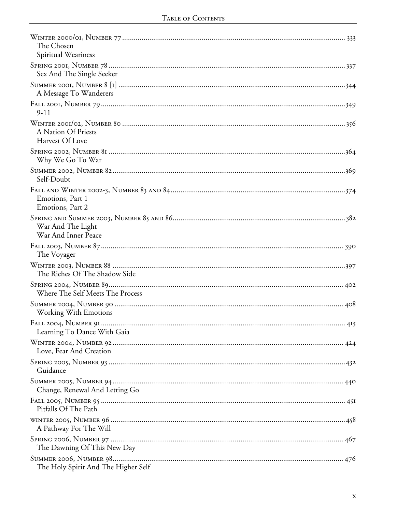| The Chosen<br>Spiritual Weariness        |
|------------------------------------------|
| Sex And The Single Seeker                |
| A Message To Wanderers                   |
| $9 - 11$                                 |
| A Nation Of Priests<br>Harvest Of Love   |
| Why We Go To War                         |
| Self-Doubt                               |
| Emotions, Part 1<br>Emotions, Part 2     |
| War And The Light<br>War And Inner Peace |
| The Voyager                              |
| The Riches Of The Shadow Side            |
| Where The Self Meets The Process         |
| <b>Working With Emotions</b>             |
| Learning To Dance With Gaia              |
| Love, Fear And Creation                  |
| Guidance                                 |
| Change, Renewal And Letting Go           |
| Pitfalls Of The Path                     |
| A Pathway For The Will                   |
| The Dawning Of This New Day              |
| The Holy Spirit And The Higher Self      |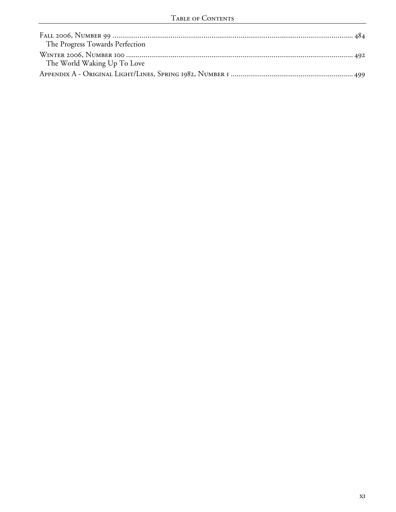| The Progress Towards Perfection |  |
|---------------------------------|--|
| The World Waking Up To Love     |  |
|                                 |  |